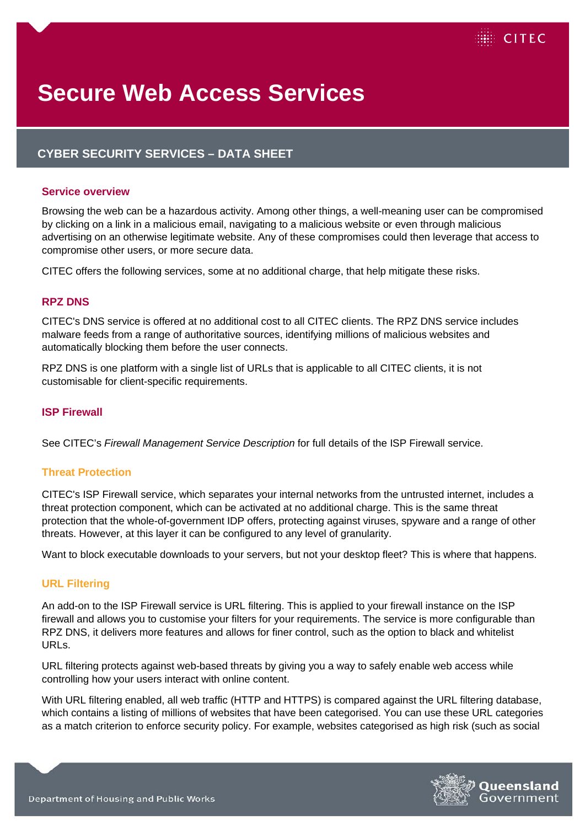

# **Secure Web Access Services**

# **CYBER SECURITY SERVICES – DATA SHEET**

#### **Service overview**

Browsing the web can be a hazardous activity. Among other things, a well-meaning user can be compromised by clicking on a link in a malicious email, navigating to a malicious website or even through malicious advertising on an otherwise legitimate website. Any of these compromises could then leverage that access to compromise other users, or more secure data.

CITEC offers the following services, some at no additional charge, that help mitigate these risks.

## **RPZ DNS**

CITEC's DNS service is offered at no additional cost to all CITEC clients. The RPZ DNS service includes malware feeds from a range of authoritative sources, identifying millions of malicious websites and automatically blocking them before the user connects.

RPZ DNS is one platform with a single list of URLs that is applicable to all CITEC clients, it is not customisable for client-specific requirements.

#### **ISP Firewall**

See CITEC's *Firewall Management Service Description* for full details of the ISP Firewall service.

#### **Threat Protection**

CITEC's ISP Firewall service, which separates your internal networks from the untrusted internet, includes a threat protection component, which can be activated at no additional charge. This is the same threat protection that the whole-of-government IDP offers, protecting against viruses, spyware and a range of other threats. However, at this layer it can be configured to any level of granularity.

Want to block executable downloads to your servers, but not your desktop fleet? This is where that happens.

#### **URL Filtering**

An add-on to the ISP Firewall service is URL filtering. This is applied to your firewall instance on the ISP firewall and allows you to customise your filters for your requirements. The service is more configurable than RPZ DNS, it delivers more features and allows for finer control, such as the option to black and whitelist URLs.

URL filtering protects against web-based threats by giving you a way to safely enable web access while controlling how your users interact with online content.

With URL filtering enabled, all web traffic (HTTP and HTTPS) is compared against the URL filtering database, which contains a listing of millions of websites that have been categorised. You can use these URL categories as a match criterion to enforce security policy. For example, websites categorised as high risk (such as social